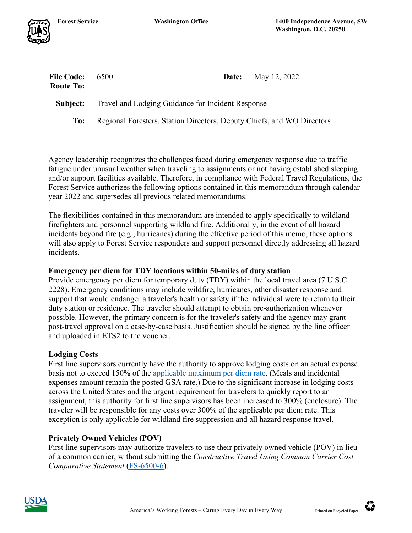| <b>File Code:</b><br><b>Route To:</b> | - 6500                                                                 | <b>Date:</b> | May 12, 2022 |
|---------------------------------------|------------------------------------------------------------------------|--------------|--------------|
| Subject:                              | Travel and Lodging Guidance for Incident Response                      |              |              |
| To:                                   | Regional Foresters, Station Directors, Deputy Chiefs, and WO Directors |              |              |

Agency leadership recognizes the challenges faced during emergency response due to traffic fatigue under unusual weather when traveling to assignments or not having established sleeping and/or support facilities available. Therefore, in compliance with Federal Travel Regulations, the Forest Service authorizes the following options contained in this memorandum through calendar year 2022 and supersedes all previous related memorandums.

The flexibilities contained in this memorandum are intended to apply specifically to wildland firefighters and personnel supporting wildland fire. Additionally, in the event of all hazard incidents beyond fire (e.g., hurricanes) during the effective period of this memo, these options will also apply to Forest Service responders and support personnel directly addressing all hazard incidents.

### **Emergency per diem for TDY locations within 50-miles of duty station**

Provide emergency per diem for temporary duty (TDY) within the local travel area (7 U.S.C 2228). Emergency conditions may include wildfire, hurricanes, other disaster response and support that would endanger a traveler's health or safety if the individual were to return to their duty station or residence. The traveler should attempt to obtain pre-authorization whenever possible. However, the primary concern is for the traveler's safety and the agency may grant post-travel approval on a case-by-case basis. Justification should be signed by the line officer and uploaded in ETS2 to the voucher.

# **Lodging Costs**

First line supervisors currently have the authority to approve lodging costs on an actual expense basis not to exceed 150% of the [applicable maximum per diem rate.](https://www.gsa.gov/travel/plan-book/per-diem-rates) (Meals and incidental expenses amount remain the posted GSA rate.) Due to the significant increase in lodging costs across the United States and the urgent requirement for travelers to quickly report to an assignment, this authority for first line supervisors has been increased to 300% (enclosure). The traveler will be responsible for any costs over 300% of the applicable per diem rate. This exception is only applicable for wildland fire suppression and all hazard response travel.

# **Privately Owned Vehicles (POV)**

First line supervisors may authorize travelers to use their privately owned vehicle (POV) in lieu of a common carrier, without submitting the *Constructive Travel Using Common Carrier Cost Comparative Statement* [\(FS-6500-6\)](https://usdagcc.sharepoint.com/sites/fs-orms/orms-forms/Forms/fs_6500_6.doc).





Ŵ